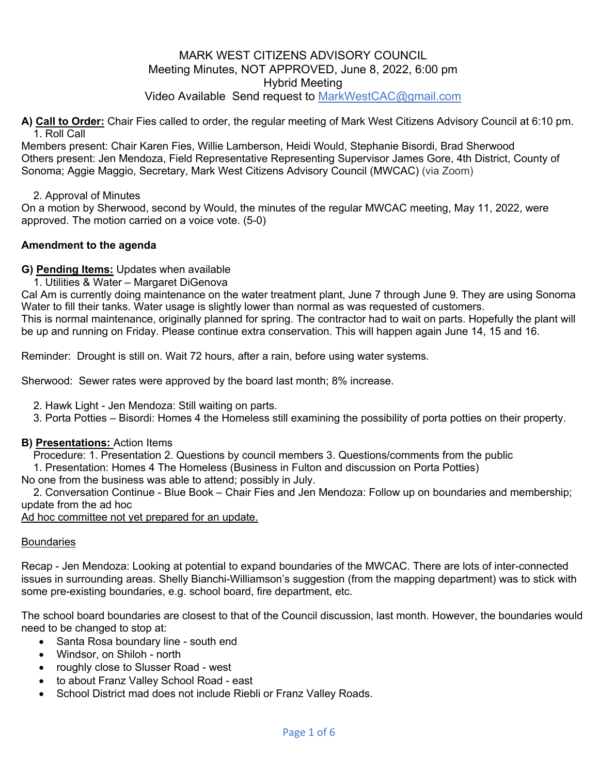#### MARK WEST CITIZENS ADVISORY COUNCIL Meeting Minutes, NOT APPROVED, June 8, 2022, 6:00 pm Hybrid Meeting Video Available Send request to MarkWestCAC@gmail.com

**A) Call to Order:** Chair Fies called to order, the regular meeting of Mark West Citizens Advisory Council at 6:10 pm. 1. Roll Call

Members present: Chair Karen Fies, Willie Lamberson, Heidi Would, Stephanie Bisordi, Brad Sherwood Others present: Jen Mendoza, Field Representative Representing Supervisor James Gore, 4th District, County of Sonoma; Aggie Maggio, Secretary, Mark West Citizens Advisory Council (MWCAC) (via Zoom)

2. Approval of Minutes

On a motion by Sherwood, second by Would, the minutes of the regular MWCAC meeting, May 11, 2022, were approved. The motion carried on a voice vote. (5-0)

#### **Amendment to the agenda**

#### **G) Pending Items:** Updates when available

1. Utilities & Water – Margaret DiGenova

Cal Am is currently doing maintenance on the water treatment plant, June 7 through June 9. They are using Sonoma Water to fill their tanks. Water usage is slightly lower than normal as was requested of customers.

This is normal maintenance, originally planned for spring. The contractor had to wait on parts. Hopefully the plant will be up and running on Friday. Please continue extra conservation. This will happen again June 14, 15 and 16.

Reminder: Drought is still on. Wait 72 hours, after a rain, before using water systems.

Sherwood: Sewer rates were approved by the board last month; 8% increase.

2. Hawk Light - Jen Mendoza: Still waiting on parts.

3. Porta Potties – Bisordi: Homes 4 the Homeless still examining the possibility of porta potties on their property.

#### **B) Presentations:** Action Items

Procedure: 1. Presentation 2. Questions by council members 3. Questions/comments from the public

1. Presentation: Homes 4 The Homeless (Business in Fulton and discussion on Porta Potties)

No one from the business was able to attend; possibly in July.

2. Conversation Continue - Blue Book – Chair Fies and Jen Mendoza: Follow up on boundaries and membership; update from the ad hoc

Ad hoc committee not yet prepared for an update.

#### **Boundaries**

Recap - Jen Mendoza: Looking at potential to expand boundaries of the MWCAC. There are lots of inter-connected issues in surrounding areas. Shelly Bianchi-Williamson's suggestion (from the mapping department) was to stick with some pre-existing boundaries, e.g. school board, fire department, etc.

The school board boundaries are closest to that of the Council discussion, last month. However, the boundaries would need to be changed to stop at:

- Santa Rosa boundary line south end
	- Windsor, on Shiloh north
	- roughly close to Slusser Road west
	- to about Franz Valley School Road east
	- School District mad does not include Riebli or Franz Valley Roads.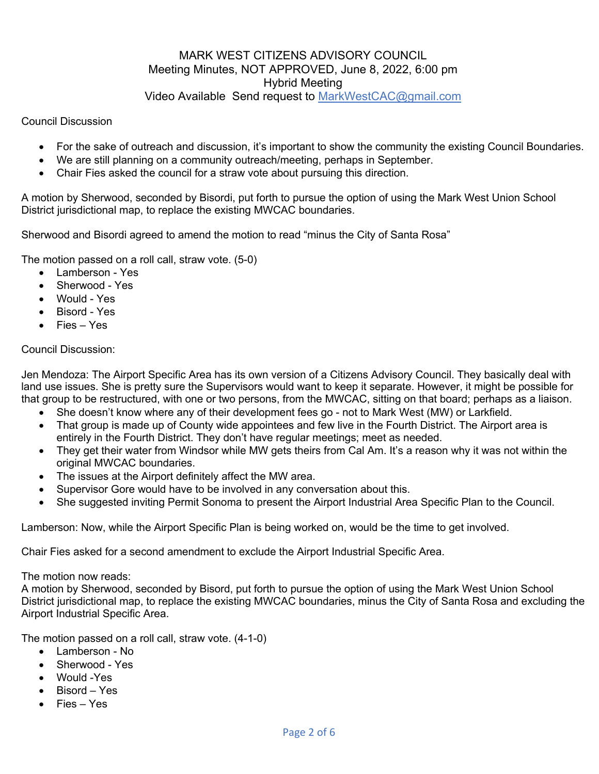# MARK WEST CITIZENS ADVISORY COUNCIL Meeting Minutes, NOT APPROVED, June 8, 2022, 6:00 pm Hybrid Meeting Video Available Send request to MarkWestCAC@gmail.com

Council Discussion

- For the sake of outreach and discussion, it's important to show the community the existing Council Boundaries.
- We are still planning on a community outreach/meeting, perhaps in September.
- Chair Fies asked the council for a straw vote about pursuing this direction.

A motion by Sherwood, seconded by Bisordi, put forth to pursue the option of using the Mark West Union School District jurisdictional map, to replace the existing MWCAC boundaries.

Sherwood and Bisordi agreed to amend the motion to read "minus the City of Santa Rosa"

The motion passed on a roll call, straw vote. (5-0)

- Lamberson Yes
- Sherwood Yes
- Would Yes
- Bisord Yes
- Fies Yes

#### Council Discussion:

Jen Mendoza: The Airport Specific Area has its own version of a Citizens Advisory Council. They basically deal with land use issues. She is pretty sure the Supervisors would want to keep it separate. However, it might be possible for that group to be restructured, with one or two persons, from the MWCAC, sitting on that board; perhaps as a liaison.

- She doesn't know where any of their development fees go not to Mark West (MW) or Larkfield.
- That group is made up of County wide appointees and few live in the Fourth District. The Airport area is entirely in the Fourth District. They don't have regular meetings; meet as needed.
- They get their water from Windsor while MW gets theirs from Cal Am. It's a reason why it was not within the original MWCAC boundaries.
- The issues at the Airport definitely affect the MW area.
- Supervisor Gore would have to be involved in any conversation about this.
- She suggested inviting Permit Sonoma to present the Airport Industrial Area Specific Plan to the Council.

Lamberson: Now, while the Airport Specific Plan is being worked on, would be the time to get involved.

Chair Fies asked for a second amendment to exclude the Airport Industrial Specific Area.

The motion now reads:

A motion by Sherwood, seconded by Bisord, put forth to pursue the option of using the Mark West Union School District jurisdictional map, to replace the existing MWCAC boundaries, minus the City of Santa Rosa and excluding the Airport Industrial Specific Area.

The motion passed on a roll call, straw vote. (4-1-0)

- Lamberson No
- Sherwood Yes
- Would -Yes
- Bisord Yes
- Fies Yes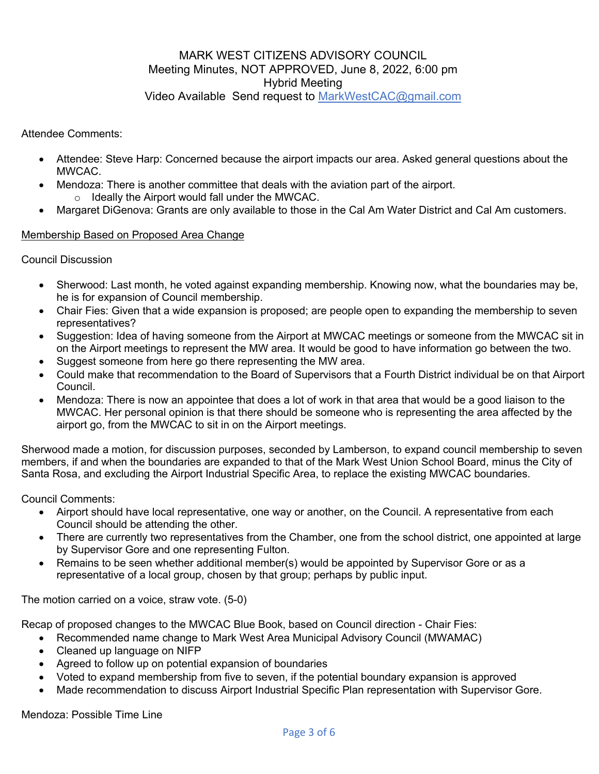# MARK WEST CITIZENS ADVISORY COUNCIL Meeting Minutes, NOT APPROVED, June 8, 2022, 6:00 pm Hybrid Meeting Video Available Send request to MarkWestCAC@gmail.com

Attendee Comments:

- Attendee: Steve Harp: Concerned because the airport impacts our area. Asked general questions about the MWCAC.
- Mendoza: There is another committee that deals with the aviation part of the airport.
	- o Ideally the Airport would fall under the MWCAC.
- Margaret DiGenova: Grants are only available to those in the Cal Am Water District and Cal Am customers.

#### Membership Based on Proposed Area Change

Council Discussion

- Sherwood: Last month, he voted against expanding membership. Knowing now, what the boundaries may be, he is for expansion of Council membership.
- Chair Fies: Given that a wide expansion is proposed; are people open to expanding the membership to seven representatives?
- Suggestion: Idea of having someone from the Airport at MWCAC meetings or someone from the MWCAC sit in on the Airport meetings to represent the MW area. It would be good to have information go between the two.
- Suggest someone from here go there representing the MW area.
- Could make that recommendation to the Board of Supervisors that a Fourth District individual be on that Airport Council.
- Mendoza: There is now an appointee that does a lot of work in that area that would be a good liaison to the MWCAC. Her personal opinion is that there should be someone who is representing the area affected by the airport go, from the MWCAC to sit in on the Airport meetings.

Sherwood made a motion, for discussion purposes, seconded by Lamberson, to expand council membership to seven members, if and when the boundaries are expanded to that of the Mark West Union School Board, minus the City of Santa Rosa, and excluding the Airport Industrial Specific Area, to replace the existing MWCAC boundaries.

Council Comments:

- Airport should have local representative, one way or another, on the Council. A representative from each Council should be attending the other.
- There are currently two representatives from the Chamber, one from the school district, one appointed at large by Supervisor Gore and one representing Fulton.
- Remains to be seen whether additional member(s) would be appointed by Supervisor Gore or as a representative of a local group, chosen by that group; perhaps by public input.

The motion carried on a voice, straw vote. (5-0)

Recap of proposed changes to the MWCAC Blue Book, based on Council direction - Chair Fies:

- Recommended name change to Mark West Area Municipal Advisory Council (MWAMAC)
- Cleaned up language on NIFP
- Agreed to follow up on potential expansion of boundaries
- Voted to expand membership from five to seven, if the potential boundary expansion is approved
- Made recommendation to discuss Airport Industrial Specific Plan representation with Supervisor Gore.

Mendoza: Possible Time Line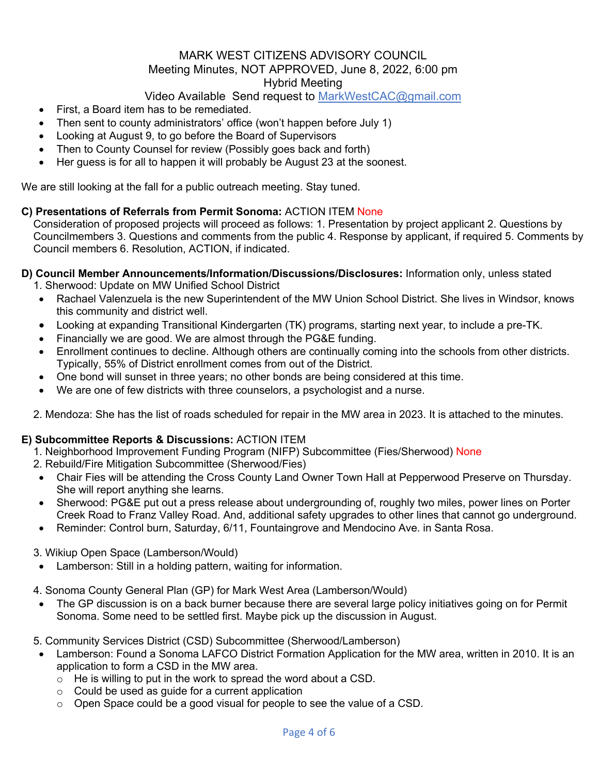# MARK WEST CITIZENS ADVISORY COUNCIL Meeting Minutes, NOT APPROVED, June 8, 2022, 6:00 pm Hybrid Meeting

# Video Available Send request to MarkWestCAC@gmail.com

- First, a Board item has to be remediated.
- Then sent to county administrators' office (won't happen before July 1)
- Looking at August 9, to go before the Board of Supervisors
- Then to County Counsel for review (Possibly goes back and forth)
- Her guess is for all to happen it will probably be August 23 at the soonest.

We are still looking at the fall for a public outreach meeting. Stay tuned.

#### **C) Presentations of Referrals from Permit Sonoma:** ACTION ITEM None

Consideration of proposed projects will proceed as follows: 1. Presentation by project applicant 2. Questions by Councilmembers 3. Questions and comments from the public 4. Response by applicant, if required 5. Comments by Council members 6. Resolution, ACTION, if indicated.

#### **D) Council Member Announcements/Information/Discussions/Disclosures:** Information only, unless stated

- 1. Sherwood: Update on MW Unified School District
- Rachael Valenzuela is the new Superintendent of the MW Union School District. She lives in Windsor, knows this community and district well.
- Looking at expanding Transitional Kindergarten (TK) programs, starting next year, to include a pre-TK.
- Financially we are good. We are almost through the PG&E funding.
- Enrollment continues to decline. Although others are continually coming into the schools from other districts. Typically, 55% of District enrollment comes from out of the District.
- One bond will sunset in three years; no other bonds are being considered at this time.
- We are one of few districts with three counselors, a psychologist and a nurse.

2. Mendoza: She has the list of roads scheduled for repair in the MW area in 2023. It is attached to the minutes.

#### **E) Subcommittee Reports & Discussions:** ACTION ITEM

- 1. Neighborhood Improvement Funding Program (NIFP) Subcommittee (Fies/Sherwood) None
- 2. Rebuild/Fire Mitigation Subcommittee (Sherwood/Fies)
- Chair Fies will be attending the Cross County Land Owner Town Hall at Pepperwood Preserve on Thursday. She will report anything she learns.
- Sherwood: PG&E put out a press release about undergrounding of, roughly two miles, power lines on Porter Creek Road to Franz Valley Road. And, additional safety upgrades to other lines that cannot go underground.
- Reminder: Control burn, Saturday, 6/11, Fountaingrove and Mendocino Ave. in Santa Rosa.

#### 3. Wikiup Open Space (Lamberson/Would)

• Lamberson: Still in a holding pattern, waiting for information.

4. Sonoma County General Plan (GP) for Mark West Area (Lamberson/Would)

• The GP discussion is on a back burner because there are several large policy initiatives going on for Permit Sonoma. Some need to be settled first. Maybe pick up the discussion in August.

#### 5. Community Services District (CSD) Subcommittee (Sherwood/Lamberson)

- Lamberson: Found a Sonoma LAFCO District Formation Application for the MW area, written in 2010. It is an application to form a CSD in the MW area.
	- $\circ$  He is willing to put in the work to spread the word about a CSD.
	- $\circ$  Could be used as guide for a current application
	- o Open Space could be a good visual for people to see the value of a CSD.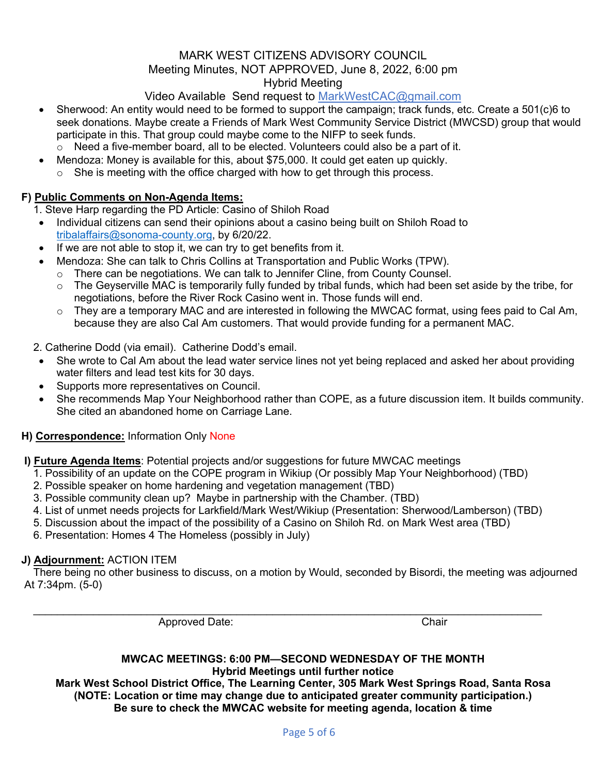#### MARK WEST CITIZENS ADVISORY COUNCIL Meeting Minutes, NOT APPROVED, June 8, 2022, 6:00 pm Hybrid Meeting

# Video Available Send request to MarkWestCAC@gmail.com

- Sherwood: An entity would need to be formed to support the campaign; track funds, etc. Create a 501(c)6 to seek donations. Maybe create a Friends of Mark West Community Service District (MWCSD) group that would participate in this. That group could maybe come to the NIFP to seek funds.
	- $\circ$  Need a five-member board, all to be elected. Volunteers could also be a part of it.
- Mendoza: Money is available for this, about \$75,000. It could get eaten up quickly.  $\circ$  She is meeting with the office charged with how to get through this process.

### **F) Public Comments on Non-Agenda Items:**

1. Steve Harp regarding the PD Article: Casino of Shiloh Road

- Individual citizens can send their opinions about a casino being built on Shiloh Road to tribalaffairs@sonoma-county.org, by 6/20/22.
- If we are not able to stop it, we can try to get benefits from it.
- Mendoza: She can talk to Chris Collins at Transportation and Public Works (TPW).
	- $\circ$  There can be negotiations. We can talk to Jennifer Cline, from County Counsel.
	- o The Geyserville MAC is temporarily fully funded by tribal funds, which had been set aside by the tribe, for negotiations, before the River Rock Casino went in. Those funds will end.
	- $\circ$  They are a temporary MAC and are interested in following the MWCAC format, using fees paid to Cal Am, because they are also Cal Am customers. That would provide funding for a permanent MAC.

#### 2. Catherine Dodd (via email). Catherine Dodd's email.

- She wrote to Cal Am about the lead water service lines not yet being replaced and asked her about providing water filters and lead test kits for 30 days.
- Supports more representatives on Council.
- She recommends Map Your Neighborhood rather than COPE, as a future discussion item. It builds community. She cited an abandoned home on Carriage Lane.

#### **H) Correspondence:** Information Only None

#### **I) Future Agenda Items**: Potential projects and/or suggestions for future MWCAC meetings

- 1. Possibility of an update on the COPE program in Wikiup (Or possibly Map Your Neighborhood) (TBD)
- 2. Possible speaker on home hardening and vegetation management (TBD)
- 3. Possible community clean up? Maybe in partnership with the Chamber. (TBD)
- 4. List of unmet needs projects for Larkfield/Mark West/Wikiup (Presentation: Sherwood/Lamberson) (TBD)

 $\_$ 

- 5. Discussion about the impact of the possibility of a Casino on Shiloh Rd. on Mark West area (TBD)
- 6. Presentation: Homes 4 The Homeless (possibly in July)

#### **J) Adjournment:** ACTION ITEM

There being no other business to discuss, on a motion by Would, seconded by Bisordi, the meeting was adjourned At 7:34pm. (5-0)

Approved Date: Chair

#### **MWCAC MEETINGS: 6:00 PM—SECOND WEDNESDAY OF THE MONTH Hybrid Meetings until further notice**

**Mark West School District Office, The Learning Center, 305 Mark West Springs Road, Santa Rosa (NOTE: Location or time may change due to anticipated greater community participation.) Be sure to check the MWCAC website for meeting agenda, location & time**